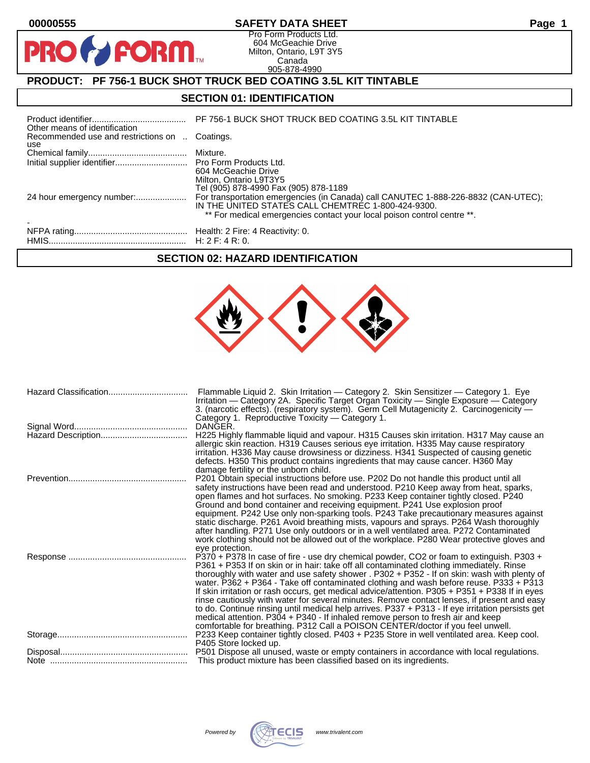PRO

## **00000555 SAFETY DATA SHEET Page 1**

Pro Form Products Ltd. 604 McGeachie Drive Milton, Ontario, L9T 3Y5 Canada 905-878-4990

# **PRODUCT: PF 756-1 BUCK SHOT TRUCK BED COATING 3.5L KIT TINTABLE**

**FORM** 

## **SECTION 01: IDENTIFICATION**

| Other means of identification                         | PF 756-1 BUCK SHOT TRUCK BED COATING 3.5L KIT TINTABLE                                                                                                                                                              |
|-------------------------------------------------------|---------------------------------------------------------------------------------------------------------------------------------------------------------------------------------------------------------------------|
| Recommended use and restrictions on  Coatings.<br>use |                                                                                                                                                                                                                     |
|                                                       |                                                                                                                                                                                                                     |
|                                                       | 604 McGeachie Drive<br>Milton, Ontario L9T3Y5<br>Tel (905) 878-4990 Fax (905) 878-1189                                                                                                                              |
|                                                       | For transportation emergencies (in Canada) call CANUTEC 1-888-226-8832 (CAN-UTEC);<br>IN THE UNITED STATES CALL CHEMTREC 1-800-424-9300.<br>** For medical emergencies contact your local poison control centre **. |
|                                                       |                                                                                                                                                                                                                     |

## **SECTION 02: HAZARD IDENTIFICATION**

| Hazard Classification | Flammable Liquid 2. Skin Irritation - Category 2. Skin Sensitizer - Category 1. Eye<br>Irritation - Category 2A. Specific Target Organ Toxicity - Single Exposure - Category<br>3. (narcotic effects). (respiratory system). Germ Cell Mutagenicity 2. Carcinogenicity -<br>Category 1. Reproductive Toxicity — Category 1.                                                                                                                                                                                                                                                                                                                                                                                                                                                                                                                              |
|-----------------------|----------------------------------------------------------------------------------------------------------------------------------------------------------------------------------------------------------------------------------------------------------------------------------------------------------------------------------------------------------------------------------------------------------------------------------------------------------------------------------------------------------------------------------------------------------------------------------------------------------------------------------------------------------------------------------------------------------------------------------------------------------------------------------------------------------------------------------------------------------|
|                       | DANGER.<br>H225 Highly flammable liquid and vapour. H315 Causes skin irritation. H317 May cause an<br>allergic skin reaction. H319 Causes serious eye irritation. H335 May cause respiratory<br>irritation. H336 May cause drowsiness or dizziness. H341 Suspected of causing genetic<br>defects. H350 This product contains ingredients that may cause cancer. H360 May<br>damage fertility or the unborn child.                                                                                                                                                                                                                                                                                                                                                                                                                                        |
|                       | P201 Obtain special instructions before use. P202 Do not handle this product until all<br>safety instructions have been read and understood. P210 Keep away from heat, sparks,<br>open flames and hot surfaces. No smoking. P233 Keep container tightly closed. P240<br>Ground and bond container and receiving equipment. P241 Use explosion proof<br>equipment. P242 Use only non-sparking tools. P243 Take precautionary measures against<br>static discharge. P261 Avoid breathing mists, vapours and sprays. P264 Wash thoroughly<br>after handling. P271 Use only outdoors or in a well ventilated area. P272 Contaminated<br>work clothing should not be allowed out of the workplace. P280 Wear protective gloves and<br>eye protection.                                                                                                         |
|                       | P370 + P378 In case of fire - use dry chemical powder, CO2 or foam to extinguish. P303 +<br>P361 + P353 If on skin or in hair: take off all contaminated clothing immediately. Rinse<br>thoroughly with water and use safety shower . P302 + P352 - If on skin: wash with plenty of<br>water. P362 + P364 - Take off contaminated clothing and wash before reuse. P333 + P313<br>If skin irritation or rash occurs, get medical advice/attention. P305 + P351 + P338 If in eyes<br>rinse cautiously with water for several minutes. Remove contact lenses, if present and easy<br>to do. Continue rinsing until medical help arrives. P337 + P313 - If eye irritation persists get<br>medical attention. P304 + P340 - If inhaled remove person to fresh air and keep<br>comfortable for breathing. P312 Call a POISON CENTER/doctor if you feel unwell. |
|                       | P233 Keep container tightly closed. P403 + P235 Store in well ventilated area. Keep cool.<br>P405 Store locked up.                                                                                                                                                                                                                                                                                                                                                                                                                                                                                                                                                                                                                                                                                                                                       |
|                       | P501 Dispose all unused, waste or empty containers in accordance with local regulations.<br>This product mixture has been classified based on its ingredients.                                                                                                                                                                                                                                                                                                                                                                                                                                                                                                                                                                                                                                                                                           |
|                       |                                                                                                                                                                                                                                                                                                                                                                                                                                                                                                                                                                                                                                                                                                                                                                                                                                                          |

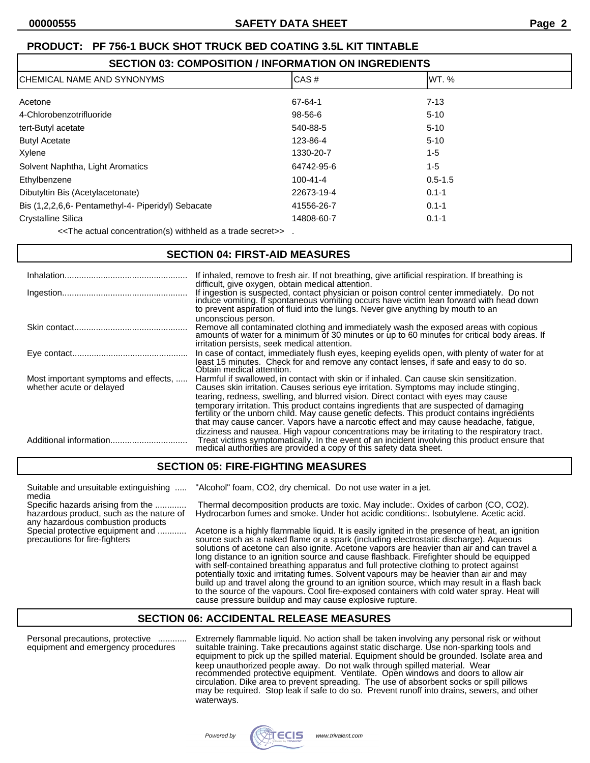| ICHEMICAL NAME AND SYNONYMS                        | CAS#           | IWT. %      |
|----------------------------------------------------|----------------|-------------|
| Acetone                                            | 67-64-1        | $7 - 13$    |
| 4-Chlorobenzotrifluoride                           | 98-56-6        | $5 - 10$    |
| tert-Butyl acetate                                 | 540-88-5       | $5 - 10$    |
| <b>Butyl Acetate</b>                               | 123-86-4       | $5 - 10$    |
| Xylene                                             | 1330-20-7      | 1-5         |
| Solvent Naphtha, Light Aromatics                   | 64742-95-6     | $1-5$       |
| Ethylbenzene                                       | $100 - 41 - 4$ | $0.5 - 1.5$ |
| Dibutyltin Bis (Acetylacetonate)                   | 22673-19-4     | $0.1 - 1$   |
| Bis (1,2,2,6,6- Pentamethyl-4- Piperidyl) Sebacate | 41556-26-7     | $0.1 - 1$   |
| <b>Crystalline Silica</b>                          | 14808-60-7     | $0.1 - 1$   |

<<The actual concentration(s) withheld as a trade secret>> .

## **SECTION 04: FIRST-AID MEASURES**

|                                                                  | If inhaled, remove to fresh air. If not breathing, give artificial respiration. If breathing is<br>difficult, give oxygen, obtain medical attention.<br>If ingestion is suspected, contact physician or poison control center immediately. Do not induce vomiting. If spontaneous vomiting occurs have victim lean forward with head down<br>to prevent aspiration of fluid into the lungs. Never give anything by mouth to an                                                                                                                           |
|------------------------------------------------------------------|----------------------------------------------------------------------------------------------------------------------------------------------------------------------------------------------------------------------------------------------------------------------------------------------------------------------------------------------------------------------------------------------------------------------------------------------------------------------------------------------------------------------------------------------------------|
|                                                                  | unconscious person.<br>Remove all contaminated clothing and immediately wash the exposed areas with copious<br>amounts of water for a minimum of 30 minutes or up to 60 minutes for critical body areas. If<br>irritation persists, seek medical attention.                                                                                                                                                                                                                                                                                              |
|                                                                  | In case of contact, immediately flush eyes, keeping eyelids open, with plenty of water for at<br>least 15 minutes. Check for and remove any contact lenses, if safe and easy to do so.<br>Obtain medical attention.                                                                                                                                                                                                                                                                                                                                      |
| Most important symptoms and effects,<br>whether acute or delayed | Harmful if swallowed, in contact with skin or if inhaled. Can cause skin sensitization.<br>Causes skin irritation. Causes serious eye irritation. Symptoms may include stinging,<br>tearing, redness, swelling, and blurred vision. Direct contact with eyes may cause<br>temporary irritation. This product contains ingredients that are suspected of damaging<br>fertility or the unborn child. May cause genetic defects. This product contains ingredients<br>that may cause cancer. Vapors have a narcotic effect and may cause headache, fatigue, |
|                                                                  | dizziness and nausea. High vapour concentrations may be irritating to the respiratory tract.<br>Treat victims symptomatically. In the event of an incident involving this product ensure that<br>medical authorities are provided a copy of this safety data sheet.                                                                                                                                                                                                                                                                                      |

## **SECTION 05: FIRE-FIGHTING MEASURES**

media

any hazardous combustion products

Suitable and unsuitable extinguishing ..... "Alcohol" foam, CO2, dry chemical. Do not use water in a jet.

Specific hazards arising from the ............. Thermal decomposition products are toxic. May include:. Oxides of carbon (CO, CO2). hazardous product, such as the nature of Hydrocarbon fumes and smoke. Under hot acidic conditions: Isobutylene. Acetic acid.

Special protective equipment and ............. Acetone is a highly flammable liquid. It is easily ignited in the presence of heat, an ignition precautions for fire-fighters<br>precautions for fire-fighters source such as a na source such as a naked flame or a spark (including electrostatic discharge). Aqueous solutions of acetone can also ignite. Acetone vapors are heavier than air and can travel a long distance to an ignition source and cause flashback. Firefighter should be equipped with self-contained breathing apparatus and full protective clothing to protect against potentially toxic and irritating fumes. Solvent vapours may be heavier than air and may build up and travel along the ground to an ignition source, which may result in a flash back to the source of the vapours. Cool fire-exposed containers with cold water spray. Heat will cause pressure buildup and may cause explosive rupture.

## **SECTION 06: ACCIDENTAL RELEASE MEASURES**

Personal precautions, protective ............ Extremely flammable liquid. No action shall be taken involving any personal risk or without equipment and emergency procedures suitable training. Take precautions against static discharge. Use non-sparking tools and equipment to pick up the spilled material. Equipment should be grounded. Isolate area and keep unauthorized people away. Do not walk through spilled material. Wear recommended protective equipment. Ventilate. Open windows and doors to allow air circulation. Dike area to prevent spreading. The use of absorbent socks or spill pillows may be required. Stop leak if safe to do so. Prevent runoff into drains, sewers, and other waterways.

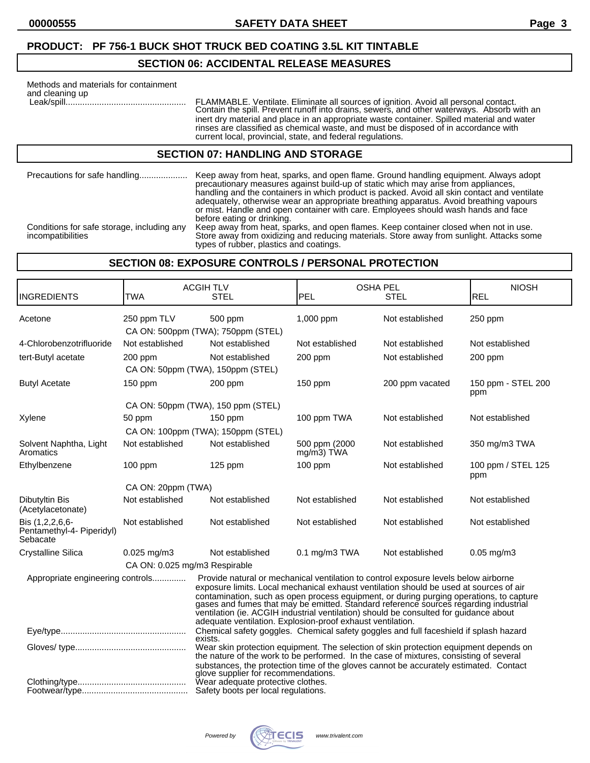## **SECTION 06: ACCIDENTAL RELEASE MEASURES**

| Methods and materials for containment<br>and cleaning up | FLAMMABLE. Ventilate. Eliminate all sources of ignition. Avoid all personal contact.<br>Contain the spill. Prevent runoff into drains, sewers, and other waterways. Absorb with an<br>inert dry material and place in an appropriate waste container. Spilled material and water<br>rinses are classified as chemical waste, and must be disposed of in accordance with<br>current local, provincial, state, and federal regulations. |  |
|----------------------------------------------------------|---------------------------------------------------------------------------------------------------------------------------------------------------------------------------------------------------------------------------------------------------------------------------------------------------------------------------------------------------------------------------------------------------------------------------------------|--|
| <b>SECTION 07: HANDLING AND STORAGE</b>                  |                                                                                                                                                                                                                                                                                                                                                                                                                                       |  |
| Precautions for safe handling                            | Keep away from heat, sparks, and open flame. Ground handling equipment. Always adopt<br>precautionary measures against build-up of static which may arise from appliances,<br>handling and the containers in which product is packed. Avoid all skin contact and ventilate                                                                                                                                                            |  |

or mist. Handle and open container with care. Employees should wash hands and face before eating or drinking. Conditions for safe storage, including any Keep away from heat, sparks, and open flames. Keep container closed when not in use. Conditions for safe storage, including any Keep away from heat, sparks, and open flames. Keep container closed when not in use.<br>Store away from oxidizing and reducing materials. Store away from sunlight. Attacks some types of rubber, plastics and coatings.

adequately, otherwise wear an appropriate breathing apparatus. Avoid breathing vapours

## **SECTION 08: EXPOSURE CONTROLS / PERSONAL PROTECTION**

| <b>INGREDIENTS</b>                                       | TWA                           | <b>ACGIH TLV</b><br><b>STEL</b>                                                                                                                                                                                                                                                                                                                                                                                                                                                                                      | PEL                         | <b>OSHA PEL</b><br><b>STEL</b> | <b>NIOSH</b><br><b>REL</b> |
|----------------------------------------------------------|-------------------------------|----------------------------------------------------------------------------------------------------------------------------------------------------------------------------------------------------------------------------------------------------------------------------------------------------------------------------------------------------------------------------------------------------------------------------------------------------------------------------------------------------------------------|-----------------------------|--------------------------------|----------------------------|
| Acetone                                                  | 250 ppm TLV                   | 500 ppm<br>CA ON: 500ppm (TWA); 750ppm (STEL)                                                                                                                                                                                                                                                                                                                                                                                                                                                                        | 1,000 ppm                   | Not established                | 250 ppm                    |
| 4-Chlorobenzotrifluoride                                 | Not established               | Not established                                                                                                                                                                                                                                                                                                                                                                                                                                                                                                      | Not established             | Not established                | Not established            |
| tert-Butyl acetate                                       | 200 ppm                       | Not established<br>CA ON: 50ppm (TWA), 150ppm (STEL)                                                                                                                                                                                                                                                                                                                                                                                                                                                                 | $200$ ppm                   | Not established                | $200$ ppm                  |
| <b>Butyl Acetate</b>                                     | 150 ppm                       | 200 ppm                                                                                                                                                                                                                                                                                                                                                                                                                                                                                                              | $150$ ppm                   | 200 ppm vacated                | 150 ppm - STEL 200<br>ppm  |
|                                                          |                               | CA ON: 50ppm (TWA), 150 ppm (STEL)                                                                                                                                                                                                                                                                                                                                                                                                                                                                                   |                             |                                |                            |
| Xylene                                                   | 50 ppm                        | $150$ ppm                                                                                                                                                                                                                                                                                                                                                                                                                                                                                                            | 100 ppm TWA                 | Not established                | Not established            |
|                                                          |                               | CA ON: 100ppm (TWA); 150ppm (STEL)                                                                                                                                                                                                                                                                                                                                                                                                                                                                                   |                             |                                |                            |
| Solvent Naphtha, Light<br>Aromatics                      | Not established               | Not established                                                                                                                                                                                                                                                                                                                                                                                                                                                                                                      | 500 ppm (2000<br>mg/m3) TWA | Not established                | 350 mg/m3 TWA              |
| Ethylbenzene                                             | $100$ ppm                     | $125$ ppm                                                                                                                                                                                                                                                                                                                                                                                                                                                                                                            | $100$ ppm                   | Not established                | 100 ppm / STEL 125<br>ppm  |
|                                                          | CA ON: 20ppm (TWA)            |                                                                                                                                                                                                                                                                                                                                                                                                                                                                                                                      |                             |                                |                            |
| Dibutyltin Bis<br>(Acetylacetonate)                      | Not established               | Not established                                                                                                                                                                                                                                                                                                                                                                                                                                                                                                      | Not established             | Not established                | Not established            |
| Bis (1,2,2,6,6-<br>Pentamethyl-4- Piperidyl)<br>Sebacate | Not established               | Not established                                                                                                                                                                                                                                                                                                                                                                                                                                                                                                      | Not established             | Not established                | Not established            |
| Crystalline Silica                                       | $0.025$ mg/m $3$              | Not established                                                                                                                                                                                                                                                                                                                                                                                                                                                                                                      | $0.1$ mg/m $3$ TWA          | Not established                | $0.05$ mg/m $3$            |
|                                                          | CA ON: 0.025 mg/m3 Respirable |                                                                                                                                                                                                                                                                                                                                                                                                                                                                                                                      |                             |                                |                            |
| Appropriate engineering controls                         |                               | Provide natural or mechanical ventilation to control exposure levels below airborne<br>exposure limits. Local mechanical exhaust ventilation should be used at sources of air<br>contamination, such as open process equipment, or during purging operations, to capture gases and fumes that may be emitted. Standard reference sources regarding industrial<br>ventilation (ie. ACGIH industrial ventilation) should be consulted for guidance about<br>adequate ventilation. Explosion-proof exhaust ventilation. |                             |                                |                            |
|                                                          |                               | Chemical safety goggles. Chemical safety goggles and full faceshield if splash hazard<br>exists.                                                                                                                                                                                                                                                                                                                                                                                                                     |                             |                                |                            |
|                                                          |                               | Wear skin protection equipment. The selection of skin protection equipment depends on<br>the nature of the work to be performed. In the case of mixtures, consisting of several<br>substances, the protection time of the gloves cannot be accurately estimated. Contact<br>glove supplier for recommendations.                                                                                                                                                                                                      |                             |                                |                            |
|                                                          |                               | Wear adequate protective clothes.<br>Safety boots per local regulations.                                                                                                                                                                                                                                                                                                                                                                                                                                             |                             |                                |                            |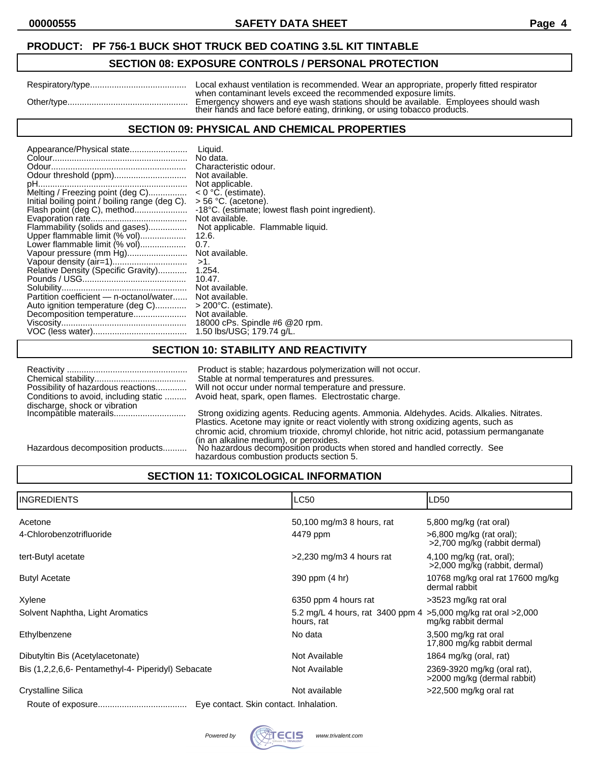## **SECTION 08: EXPOSURE CONTROLS / PERSONAL PROTECTION**

| Respiratory/type | Local exhaust ventilation is recommended. Wear an appropriate, properly fitted respirator                                                                                                                                         |
|------------------|-----------------------------------------------------------------------------------------------------------------------------------------------------------------------------------------------------------------------------------|
| Other/type       | when contaminant levels exceed the recommended exposure limits.<br>Emergency showers and eye wash stations should be available. Employees should wash<br>their hands and face before eating, drinking, or using tobacco products. |

## **SECTION 09: PHYSICAL AND CHEMICAL PROPERTIES**

## **SECTION 10: STABILITY AND REACTIVITY**

| Conditions to avoid, including static | Product is stable; hazardous polymerization will not occur.<br>Stable at normal temperatures and pressures.<br>Possibility of hazardous reactions Will not occur under normal temperature and pressure.<br>Avoid heat, spark, open flames. Electrostatic charge. |
|---------------------------------------|------------------------------------------------------------------------------------------------------------------------------------------------------------------------------------------------------------------------------------------------------------------|
|                                       | Strong oxidizing agents. Reducing agents. Ammonia. Aldehydes. Acids. Alkalies. Nitrates.<br>Plastics. Acetone may ignite or react violently with strong oxidizing agents, such as                                                                                |
| Hazardous decomposition products      | chromic acid, chromium trioxide, chromyl chloride, hot nitric acid, potassium permanganate<br>(in an alkaline medium), or peroxides.<br>No hazardous decomposition products when stored and handled correctly. See<br>hazardous combustion products section 5.   |

# **SECTION 11: TOXICOLOGICAL INFORMATION**

| <b>INGREDIENTS</b>                                 | <b>LC50</b>                                                                   | LD50                                                        |
|----------------------------------------------------|-------------------------------------------------------------------------------|-------------------------------------------------------------|
| Acetone                                            | 50,100 mg/m3 8 hours, rat                                                     | 5,800 mg/kg (rat oral)                                      |
| 4-Chlorobenzotrifluoride                           | 4479 ppm                                                                      | $>6,800$ mg/kg (rat oral);<br>>2,700 mg/kg (rabbit dermal)  |
| tert-Butyl acetate                                 | $>2,230$ mg/m3 4 hours rat                                                    | $4,100$ mg/kg (rat, oral);<br>>2,000 mg/kg (rabbit, dermal) |
| <b>Butyl Acetate</b>                               | 390 ppm (4 hr)                                                                | 10768 mg/kg oral rat 17600 mg/kg<br>dermal rabbit           |
| Xylene                                             | 6350 ppm 4 hours rat                                                          | >3523 mg/kg rat oral                                        |
| Solvent Naphtha, Light Aromatics                   | 5.2 mg/L 4 hours, rat 3400 ppm 4 > 5,000 mg/kg rat oral > 2,000<br>hours, rat | mg/kg rabbit dermal                                         |
| Ethylbenzene                                       | No data                                                                       | 3,500 mg/kg rat oral<br>17,800 mg/kg rabbit dermal          |
| Dibutyltin Bis (Acetylacetonate)                   | Not Available                                                                 | 1864 mg/kg (oral, rat)                                      |
| Bis (1,2,2,6,6- Pentamethyl-4- Piperidyl) Sebacate | Not Available                                                                 | 2369-3920 mg/kg (oral rat),<br>>2000 mg/kg (dermal rabbit)  |
| Crystalline Silica                                 | Not available                                                                 | >22,500 mg/kg oral rat                                      |
|                                                    | Eye contact. Skin contact. Inhalation.                                        |                                                             |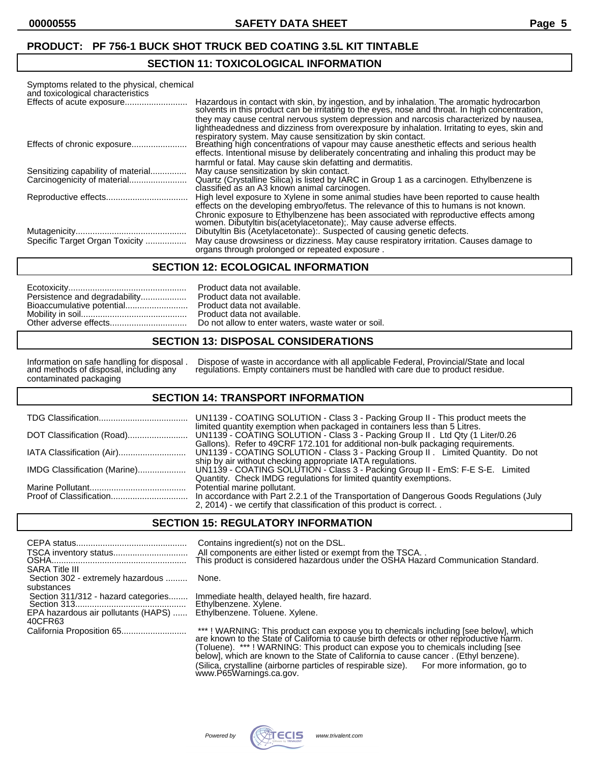### **SECTION 11: TOXICOLOGICAL INFORMATION**

| Symptoms related to the physical, chemical<br>and toxicological characteristics |                                                                                                                                                                                                                                                                                                                                                 |
|---------------------------------------------------------------------------------|-------------------------------------------------------------------------------------------------------------------------------------------------------------------------------------------------------------------------------------------------------------------------------------------------------------------------------------------------|
|                                                                                 | Hazardous in contact with skin, by ingestion, and by inhalation. The aromatic hydrocarbon<br>solvents in this product can be irritating to the eyes, nose and throat. In high concentration,<br>they may cause central nervous system depression and narcosis characterized by nausea,                                                          |
|                                                                                 | lightheadedness and dizziness from overexposure by inhalation. Irritating to eyes, skin and<br>respiratory system. May cause sensitization by skin contact.                                                                                                                                                                                     |
|                                                                                 | Breathing high concentrations of vapour may cause anesthetic effects and serious health<br>effects. Intentional misuse by deliberately concentrating and inhaling this product may be<br>harmful or fatal. May cause skin defatting and dermatitis.                                                                                             |
| Sensitizing capability of material                                              | May cause sensitization by skin contact.                                                                                                                                                                                                                                                                                                        |
|                                                                                 | Quartz (Crystalline Silica) is listed by IARC in Group 1 as a carcinogen. Ethylbenzene is<br>classified as an A3 known animal carcinogen.                                                                                                                                                                                                       |
|                                                                                 | High level exposure to Xylene in some animal studies have been reported to cause health<br>effects on the developing embryo/fetus. The relevance of this to humans is not known.<br>Chronic exposure to Ethylbenzene has been associated with reproductive effects among<br>women. Dibutyltin bis (acetylacetonate); May cause adverse effects. |
|                                                                                 | Dibutyltin Bis (Acetylacetonate): Suspected of causing genetic defects.                                                                                                                                                                                                                                                                         |
| Specific Target Organ Toxicity                                                  | May cause drowsiness or dizziness. May cause respiratory irritation. Causes damage to<br>organs through prolonged or repeated exposure.                                                                                                                                                                                                         |

#### **SECTION 12: ECOLOGICAL INFORMATION**

|                               | Product  |
|-------------------------------|----------|
| Persistence and degradability | Product  |
| Bioaccumulative potential     | Product  |
|                               | Product  |
|                               | Do not a |

data not available. data not available. data not available. data not available. allow to enter waters, waste water or soil.

#### **SECTION 13: DISPOSAL CONSIDERATIONS**

and methods of disposal, including any<br>contaminated packaging

Information on safe handling for disposal . Dispose of waste in accordance with all applicable Federal, Provincial/State and local and methods of disposal, including any regulations. Empty containers must be handled with care due to product residue.

#### **SECTION 14: TRANSPORT INFORMATION**

|                              | UN1139 - COATING SOLUTION - Class 3 - Packing Group II - This product meets the                                                                                      |
|------------------------------|----------------------------------------------------------------------------------------------------------------------------------------------------------------------|
|                              | limited quantity exemption when packaged in containers less than 5 Litres.<br>UN1139 - COATING SOLUTION - Class 3 - Packing Group II. Ltd Qty (1 Liter/0.26          |
|                              | Gallons). Refer to 49CRF 172.101 for additional non-bulk packaging requirements.<br>UN1139 - COATING SOLUTION - Class 3 - Packing Group II. Limited Quantity. Do not |
| IMDG Classification (Marine) | ship by air without checking appropriate IATA regulations.<br>UN1139 - COATING SOLUTION - Class 3 - Packing Group II - EmS: F-E S-E. Limited                         |
|                              | Quantity. Check IMDG regulations for limited quantity exemptions.<br>Potential marine pollutant.                                                                     |
|                              | In accordance with Part 2.2.1 of the Transportation of Dangerous Goods Regulations (July<br>2, 2014) - we certify that classification of this product is correct     |

#### **SECTION 15: REGULATORY INFORMATION**

| <b>SARA Title III</b>                                                                               | Contains ingredient(s) not on the DSL.<br>All components are either listed or exempt from the TSCA. .<br>This product is considered hazardous under the OSHA Hazard Communication Standard. |
|-----------------------------------------------------------------------------------------------------|---------------------------------------------------------------------------------------------------------------------------------------------------------------------------------------------|
| Section 302 - extremely hazardous  None.                                                            |                                                                                                                                                                                             |
| substances<br>Section 311/312 - hazard categories<br>EPA hazardous air pollutants (HAPS)<br>40CFR63 | Immediate health, delayed health, fire hazard.<br>Ethylbenzene. Xylene.<br>Ethylbenzene. Toluene. Xylene.                                                                                   |
|                                                                                                     | ***! WARNING: This product can expose you to chemicals including [see below], which are known to the State of California to cause birth defects or other reproductive harm.                 |

(Toluene). \*\*\* ! WARNING: This product can expose you to chemicals including [see below], which are known to the State of California to cause cancer . (Ethyl benzene). (Silica, crystalline (airborne particles of respirable size). For more information, go to www.P65Warnings.ca.gov.

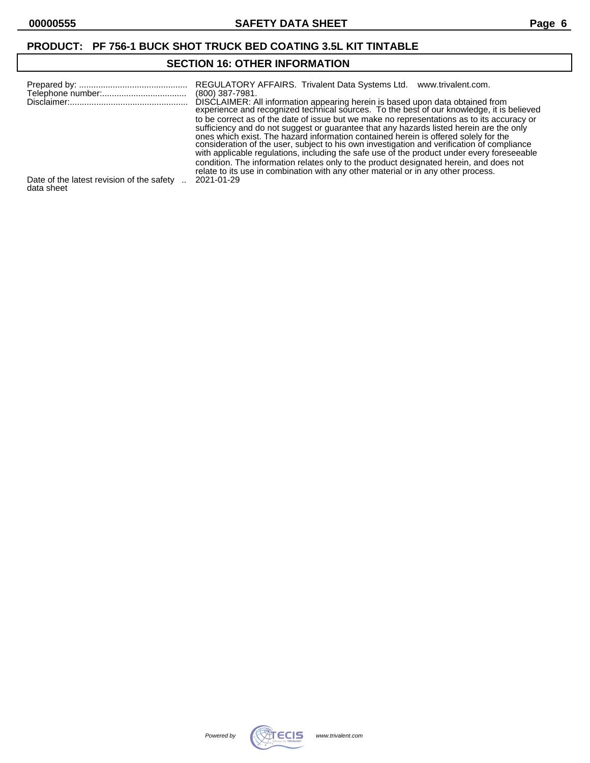# **SECTION 16: OTHER INFORMATION**

|                                                         | REGULATORY AFFAIRS. Trivalent Data Systems Ltd.<br>www.trivalent.com.<br>(800) 387-7981.<br>DISCLAIMER: All information appearing herein is based upon data obtained from<br>experience and recognized technical sources. To the best of our knowledge, it is believed<br>to be correct as of the date of issue but we make no representations as to its accuracy or<br>sufficiency and do not suggest or guarantee that any hazards listed herein are the only<br>ones which exist. The hazard information contained herein is offered solely for the<br>consideration of the user, subject to his own investigation and verification of compliance<br>with applicable regulations, including the safe use of the product under every foreseeable<br>condition. The information relates only to the product designated herein, and does not<br>relate to its use in combination with any other material or in any other process. |
|---------------------------------------------------------|-----------------------------------------------------------------------------------------------------------------------------------------------------------------------------------------------------------------------------------------------------------------------------------------------------------------------------------------------------------------------------------------------------------------------------------------------------------------------------------------------------------------------------------------------------------------------------------------------------------------------------------------------------------------------------------------------------------------------------------------------------------------------------------------------------------------------------------------------------------------------------------------------------------------------------------|
| Date of the latest revision of the safety<br>data sheet | 2021-01-29                                                                                                                                                                                                                                                                                                                                                                                                                                                                                                                                                                                                                                                                                                                                                                                                                                                                                                                        |

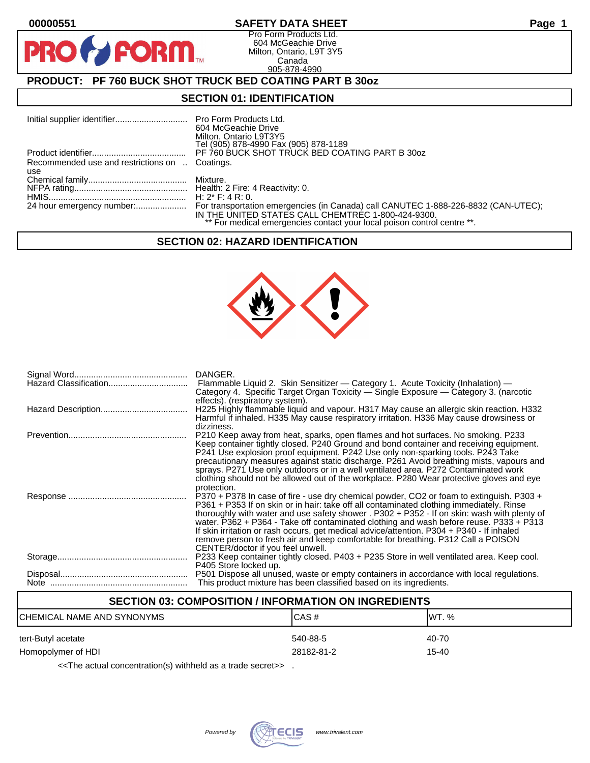**PR** 

## **00000551 SAFETY DATA SHEET Page 1**

Pro Form Products Ltd. 604 McGeachie Drive Milton, Ontario, L9T 3Y5 Canada 905-878-4990

# **PRODUCT: PF 760 BUCK SHOT TRUCK BED COATING PART B 30oz**

**FORM.** 

### **SECTION 01: IDENTIFICATION**

|                                                | 604 McGeachie Drive<br>Milton, Ontario L9T3Y5<br>Tel (905) 878-4990 Fax (905) 878-1189                                        |
|------------------------------------------------|-------------------------------------------------------------------------------------------------------------------------------|
|                                                | PF 760 BUCK SHOT TRUCK BED COATING PART B 30oz                                                                                |
| Recommended use and restrictions on  Coatings. |                                                                                                                               |
| use                                            |                                                                                                                               |
|                                                |                                                                                                                               |
|                                                |                                                                                                                               |
|                                                | H: $2^*$ F: 4 R: 0.                                                                                                           |
|                                                | IN THE UNITED STATES CALL CHEMTREC 1-800-424-9300.<br>** For medical emergencies contact your local poison control centre **. |

#### **SECTION 02: HAZARD IDENTIFICATION**



| DANGER.<br>Flammable Liquid 2. Skin Sensitizer - Category 1. Acute Toxicity (Inhalation) -<br>Category 4. Specific Target Organ Toxicity - Single Exposure - Category 3. (narcotic                                                                                                                                                                                                                                                                                                                                                                                                                   |
|------------------------------------------------------------------------------------------------------------------------------------------------------------------------------------------------------------------------------------------------------------------------------------------------------------------------------------------------------------------------------------------------------------------------------------------------------------------------------------------------------------------------------------------------------------------------------------------------------|
| effects). (respiratory system).<br>H225 Highly flammable liquid and vapour. H317 May cause an allergic skin reaction. H332<br>Harmful if inhaled. H335 May cause respiratory irritation. H336 May cause drowsiness or                                                                                                                                                                                                                                                                                                                                                                                |
| dizziness.<br>P210 Keep away from heat, sparks, open flames and hot surfaces. No smoking. P233<br>Keep container tightly closed. P240 Ground and bond container and receiving equipment.<br>P241 Use explosion proof equipment. P242 Use only non-sparking tools. P243 Take<br>precautionary measures against static discharge. P261 Avoid breathing mists, vapours and<br>sprays. P271 Use only outdoors or in a well ventilated area. P272 Contaminated work<br>clothing should not be allowed out of the workplace. P280 Wear protective gloves and eye<br>protection.                            |
| P370 + P378 In case of fire - use dry chemical powder, CO2 or foam to extinguish. P303 +<br>P361 + P353 If on skin or in hair: take off all contaminated clothing immediately. Rinse<br>thoroughly with water and use safety shower . P302 + P352 - If on skin: wash with plenty of<br>water. P362 + P364 - Take off contaminated clothing and wash before reuse. P333 + P313<br>If skin irritation or rash occurs, get medical advice/attention. P304 + P340 - If inhaled<br>remove person to fresh air and keep comfortable for breathing. P312 Call a POISON<br>CENTER/doctor if you feel unwell. |
| P233 Keep container tightly closed. P403 + P235 Store in well ventilated area. Keep cool.<br>P405 Store locked up.                                                                                                                                                                                                                                                                                                                                                                                                                                                                                   |
| P501 Dispose all unused, waste or empty containers in accordance with local regulations.<br>This product mixture has been classified based on its ingredients.                                                                                                                                                                                                                                                                                                                                                                                                                                       |

## **SECTION 03: COMPOSITION / INFORMATION ON INGREDIENTS**

| ICHEMICAL NAME AND SYNONYMS | CAS#       | IWT. % |
|-----------------------------|------------|--------|
| tert-Butyl acetate          | 540-88-5   | 40-70  |
| Homopolymer of HDI          | 28182-81-2 | 15-40  |

<<The actual concentration(s) withheld as a trade secret>> .

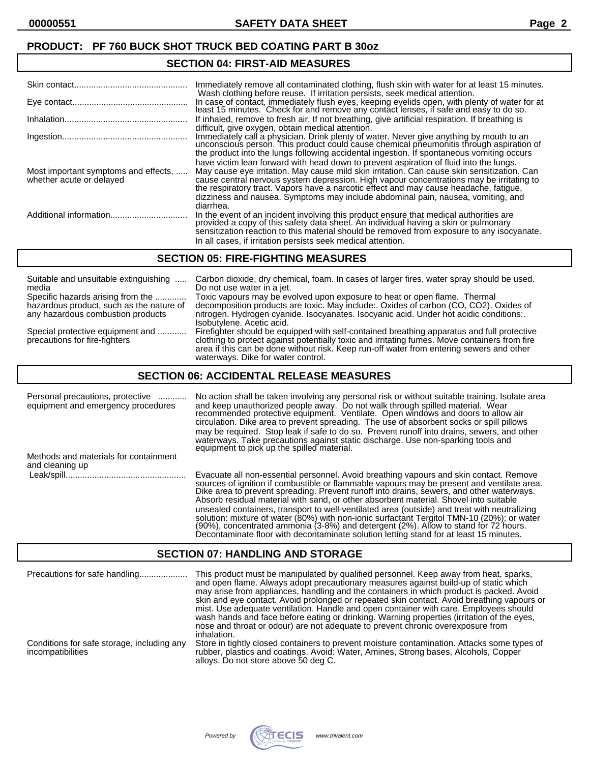# **SECTION 04: FIRST-AID MEASURES**

|                                                                  | Immediately remove all contaminated clothing, flush skin with water for at least 15 minutes.<br>Wash clothing before reuse. If irritation persists, seek medical attention.                                                                                                                                                                                                |
|------------------------------------------------------------------|----------------------------------------------------------------------------------------------------------------------------------------------------------------------------------------------------------------------------------------------------------------------------------------------------------------------------------------------------------------------------|
|                                                                  | In case of contact, immediately flush eyes, keeping eyelids open, with plenty of water for at<br>least 15 minutes. Check for and remove any contact lenses, if safe and easy to do so.                                                                                                                                                                                     |
|                                                                  | If inhaled, remove to fresh air. If not breathing, give artificial respiration. If breathing is<br>difficult, give oxygen, obtain medical attention.                                                                                                                                                                                                                       |
|                                                                  | Immediately call a physician. Drink plenty of water. Never give anything by mouth to an unconscious person. This product could cause chemical pneumonitis through aspiration of<br>the product into the lungs following accidental ingestion. If spontaneous vomiting occurs                                                                                               |
| Most important symptoms and effects,<br>whether acute or delayed | have victim lean forward with head down to prevent aspiration of fluid into the lungs.<br>May cause eye irritation. May cause mild skin irritation. Can cause skin sensitization. Can<br>cause central nervous system depression. High vapour concentrations may be irritating to<br>the respiratory tract. Vapors have a narcotic effect and may cause headache, fatigue, |
|                                                                  | dizziness and nausea. Symptoms may include abdominal pain, nausea, vomiting, and<br>diarrhea.                                                                                                                                                                                                                                                                              |
|                                                                  | In the event of an incident involving this product ensure that medical authorities are provided a copy of this safety data sheet. An individual having a skin or pulmonary<br>sensitization reaction to this material should be removed from exposure to any isocyanate.                                                                                                   |
|                                                                  | In all cases, if irritation persists seek medical attention.                                                                                                                                                                                                                                                                                                               |

#### **SECTION 05: FIRE-FIGHTING MEASURES**

| Suitable and unsuitable extinguishing                             | Carbon dioxide, dry chemical, foam. In cases of larger fires, water spray should be used.                                                                                                                                                                                                                                     |
|-------------------------------------------------------------------|-------------------------------------------------------------------------------------------------------------------------------------------------------------------------------------------------------------------------------------------------------------------------------------------------------------------------------|
| media                                                             | Do not use water in a jet.                                                                                                                                                                                                                                                                                                    |
| Specific hazards arising from the                                 | Toxic vapours may be evolved upon exposure to heat or open flame. Thermal                                                                                                                                                                                                                                                     |
| hazardous product, such as the nature of                          | decomposition products are toxic. May include:. Oxides of carbon (CO, CO2). Oxides of                                                                                                                                                                                                                                         |
| any hazardous combustion products                                 | nitrogen. Hydrogen cyanide. Isocyanates. Isocyanic acid. Under hot acidic conditions:.<br>Isobutylene. Acetic acid.                                                                                                                                                                                                           |
| Special protective equipment and<br>precautions for fire-fighters | Firefighter should be equipped with self-contained breathing apparatus and full protective<br>clothing to protect against potentially toxic and irritating fumes. Move containers from fire<br>area if this can be done without risk. Keep run-off water from entering sewers and other<br>waterways. Dike for water control. |

### **SECTION 06: ACCIDENTAL RELEASE MEASURES**

| Personal precautions, protective<br>equipment and emergency procedures | No action shall be taken involving any personal risk or without suitable training. Isolate area<br>and keep unauthorized people away. Do not walk through spilled material. Wear<br>recommended protective equipment. Ventilate. Open windows and doors to allow air<br>circulation. Dike area to prevent spreading. The use of absorbent socks or spill pillows<br>may be required. Stop leak if safe to do so. Prevent runoff into drains, sewers, and other<br>waterways. Take precautions against static discharge. Use non-sparking tools and<br>equipment to pick up the spilled material.                                                               |
|------------------------------------------------------------------------|----------------------------------------------------------------------------------------------------------------------------------------------------------------------------------------------------------------------------------------------------------------------------------------------------------------------------------------------------------------------------------------------------------------------------------------------------------------------------------------------------------------------------------------------------------------------------------------------------------------------------------------------------------------|
| Methods and materials for containment<br>and cleaning up               |                                                                                                                                                                                                                                                                                                                                                                                                                                                                                                                                                                                                                                                                |
|                                                                        | Evacuate all non-essential personnel. Avoid breathing vapours and skin contact. Remove<br>sources of ignition if combustible or flammable vapours may be present and ventilate area.<br>Dike area to prevent spreading. Prevent runoff into drains, sewers, and other waterways.<br>Absorb residual material with sand, or other absorbent material. Shovel into suitable<br>unsealed containers, transport to well-ventilated area (outside) and treat with neutralizing<br>solution: mixture of water (80%) with non-ionic surfactant Tergitol TMN-10 (20%); or water<br>(90%), concentrated ammonia (3-8%) and detergent (2%). Allow to stand for 72 hours. |

## **SECTION 07: HANDLING AND STORAGE**

| Precautions for safe handling                                   | This product must be manipulated by qualified personnel. Keep away from heat, sparks,<br>and open flame. Always adopt precautionary measures against build-up of static which<br>may arise from appliances, handling and the containers in which product is packed. Avoid<br>skin and eye contact. Avoid prolonged or repeated skin contact. Avoid breathing vapours or<br>mist. Use adequate ventilation. Handle and open container with care. Employees should<br>wash hands and face before eating or drinking. Warning properties (irritation of the eyes,<br>nose and throat or odour) are not adequate to prevent chronic overexposure from<br>inhalation. |
|-----------------------------------------------------------------|------------------------------------------------------------------------------------------------------------------------------------------------------------------------------------------------------------------------------------------------------------------------------------------------------------------------------------------------------------------------------------------------------------------------------------------------------------------------------------------------------------------------------------------------------------------------------------------------------------------------------------------------------------------|
| Conditions for safe storage, including any<br>incompatibilities | Store in tightly closed containers to prevent moisture contamination. Attacks some types of<br>rubber, plastics and coatings. Avoid: Water, Amines, Strong bases, Alcohols, Copper<br>alloys. Do not store above 50 deg C.                                                                                                                                                                                                                                                                                                                                                                                                                                       |



Decontaminate floor with decontaminate solution letting stand for at least 15 minutes.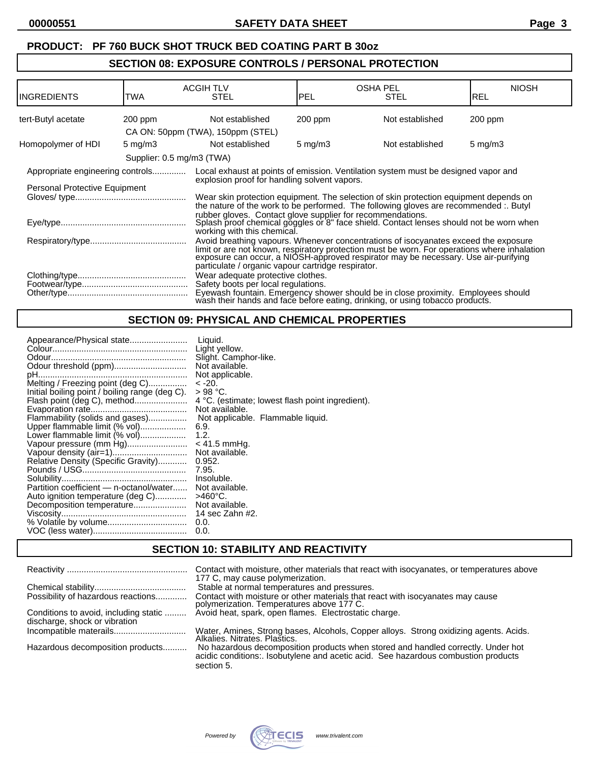# **SECTION 08: EXPOSURE CONTROLS / PERSONAL PROTECTION**

| <b>INGREDIENTS</b>                                                            | TWA                                                                                                                                                                            | <b>ACGIH TLV</b><br><b>STEL</b>                                                                                                                                                                                                                                                                                                  | <b>OSHA PEL</b><br><b>PEL</b> | <b>STEL</b>     | <b>NIOSH</b><br>IREL |
|-------------------------------------------------------------------------------|--------------------------------------------------------------------------------------------------------------------------------------------------------------------------------|----------------------------------------------------------------------------------------------------------------------------------------------------------------------------------------------------------------------------------------------------------------------------------------------------------------------------------|-------------------------------|-----------------|----------------------|
| tert-Butyl acetate                                                            | $200$ ppm                                                                                                                                                                      | Not established                                                                                                                                                                                                                                                                                                                  | $200$ ppm                     | Not established | $200$ ppm            |
|                                                                               |                                                                                                                                                                                | CA ON: 50ppm (TWA), 150ppm (STEL)                                                                                                                                                                                                                                                                                                |                               |                 |                      |
| Homopolymer of HDI                                                            | $5 \text{ mg/m}$ 3                                                                                                                                                             | Not established                                                                                                                                                                                                                                                                                                                  | $5 \text{ mg/m}$              | Not established | $5 \text{ mg/m}$     |
|                                                                               | Supplier: 0.5 mg/m3 (TWA)                                                                                                                                                      |                                                                                                                                                                                                                                                                                                                                  |                               |                 |                      |
| Appropriate engineering controls                                              |                                                                                                                                                                                | Local exhaust at points of emission. Ventilation system must be designed vapor and                                                                                                                                                                                                                                               |                               |                 |                      |
| explosion proof for handling solvent vapors.<br>Personal Protective Equipment |                                                                                                                                                                                |                                                                                                                                                                                                                                                                                                                                  |                               |                 |                      |
|                                                                               | Wear skin protection equipment. The selection of skin protection equipment depends on<br>the nature of the work to be performed. The following gloves are recommended :. Butyl |                                                                                                                                                                                                                                                                                                                                  |                               |                 |                      |
|                                                                               |                                                                                                                                                                                | rubber gloves. Contact glove supplier for recommendations.<br>Splash proof chemical goggles or 8" face shield. Contact lenses should not be worn when<br>working with this chemical.                                                                                                                                             |                               |                 |                      |
|                                                                               |                                                                                                                                                                                | Avoid breathing vapours. Whenever concentrations of isocyanates exceed the exposure<br>limit or are not known, respiratory protection must be worn. For operations where inhalation<br>exposure can occur, a NIOSH-approved respirator may be necessary. Use air-purifying<br>particulate / organic vapour cartridge respirator. |                               |                 |                      |
|                                                                               |                                                                                                                                                                                | Wear adequate protective clothes.<br>Safety boots per local regulations.<br>Eyewash fountain. Emergency shower should be in close proximity. Employees should wash their hands and face before eating, drinking, or using tobacco products.                                                                                      |                               |                 |                      |

# **SECTION 09: PHYSICAL AND CHEMICAL PROPERTIES**

# **SECTION 10: STABILITY AND REACTIVITY**

|                                                                        | Contact with moisture, other materials that react with isocyanates, or temperatures above<br>177 C, may cause polymerization.                                                       |
|------------------------------------------------------------------------|-------------------------------------------------------------------------------------------------------------------------------------------------------------------------------------|
|                                                                        | Stable at normal temperatures and pressures.                                                                                                                                        |
| Possibility of hazardous reactions                                     | Contact with moisture or other materials that react with isocyanates may cause<br>polymerization. Temperatures above 177 C.                                                         |
| Conditions to avoid, including static<br>discharge, shock or vibration | Avoid heat, spark, open flames. Electrostatic charge.                                                                                                                               |
|                                                                        | Water, Amines, Strong bases, Alcohols, Copper alloys. Strong oxidizing agents. Acids.<br>Alkalies. Nitrates. Plastics.                                                              |
| Hazardous decomposition products                                       | No hazardous decomposition products when stored and handled correctly. Under hot<br>acidic conditions: Isobutylene and acetic acid. See hazardous combustion products<br>section 5. |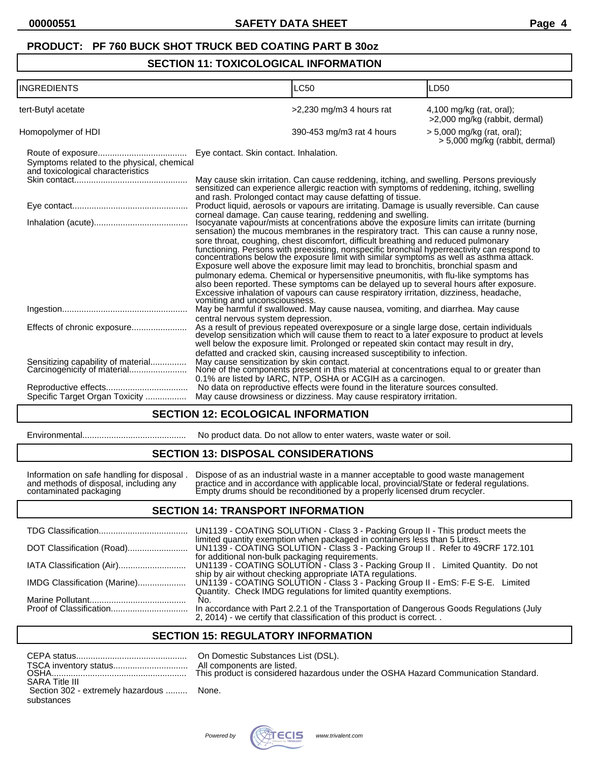## **SECTION 11: TOXICOLOGICAL INFORMATION**

| <b>INGREDIENTS</b>                                                              | <b>LC50</b>                                                                                                                                                                                                                                                                                                                                                                                                                                                                                                                                                                                                                                                                                                                                                                                                                                                                                                                     | LD50                                                         |
|---------------------------------------------------------------------------------|---------------------------------------------------------------------------------------------------------------------------------------------------------------------------------------------------------------------------------------------------------------------------------------------------------------------------------------------------------------------------------------------------------------------------------------------------------------------------------------------------------------------------------------------------------------------------------------------------------------------------------------------------------------------------------------------------------------------------------------------------------------------------------------------------------------------------------------------------------------------------------------------------------------------------------|--------------------------------------------------------------|
| tert-Butyl acetate                                                              | >2,230 mg/m3 4 hours rat                                                                                                                                                                                                                                                                                                                                                                                                                                                                                                                                                                                                                                                                                                                                                                                                                                                                                                        | $4,100$ mg/kg (rat, oral);<br>>2,000 mg/kg (rabbit, dermal)  |
| Homopolymer of HDI                                                              | 390-453 mg/m3 rat 4 hours                                                                                                                                                                                                                                                                                                                                                                                                                                                                                                                                                                                                                                                                                                                                                                                                                                                                                                       | > 5,000 mg/kg (rat, oral);<br>> 5,000 mg/kg (rabbit, dermal) |
| Symptoms related to the physical, chemical<br>and toxicological characteristics | Eye contact. Skin contact. Inhalation.                                                                                                                                                                                                                                                                                                                                                                                                                                                                                                                                                                                                                                                                                                                                                                                                                                                                                          |                                                              |
|                                                                                 | May cause skin irritation. Can cause reddening, itching, and swelling. Persons previously sensitized can experience allergic reaction with symptoms of reddening, itching, swelling<br>and rash. Prolonged contact may cause defatting of tissue.                                                                                                                                                                                                                                                                                                                                                                                                                                                                                                                                                                                                                                                                               |                                                              |
|                                                                                 | Product liquid, aerosols or vapours are irritating. Damage is usually reversible. Can cause                                                                                                                                                                                                                                                                                                                                                                                                                                                                                                                                                                                                                                                                                                                                                                                                                                     |                                                              |
|                                                                                 | corneal damage. Can cause tearing, reddening and swelling.<br>Isocyanate vapour/mists at concentrations above the exposure limits can irritate (burning<br>sensation) the mucous membranes in the respiratory tract. This can cause a runny nose,<br>sore throat, coughing, chest discomfort, difficult breathing and reduced pulmonary<br>functioning. Persons with preexisting, nonspecific bronchial hyperreactivity can respond to concentrations below the exposure limit with similar symptoms as well as asthma attack.<br>Exposure well above the exposure limit may lead to bronchitis, bronchial spasm and<br>pulmonary edema. Chemical or hypersensitive pneumonitis, with flu-like symptoms has<br>also been reported. These symptoms can be delayed up to several hours after exposure.<br>Excessive inhalation of vapours can cause respiratory irritation, dizziness, headache,<br>vomiting and unconsciousness. |                                                              |
|                                                                                 | May be harmful if swallowed. May cause nausea, vomiting, and diarrhea. May cause<br>central nervous system depression.                                                                                                                                                                                                                                                                                                                                                                                                                                                                                                                                                                                                                                                                                                                                                                                                          |                                                              |
| Effects of chronic exposure                                                     | As a result of previous repeated overexposure or a single large dose, certain individuals develop sensitization which will cause them to react to a later exposure to product at levels<br>well below the exposure limit. Prolonged or repeated skin contact may result in dry,<br>defatted and cracked skin, causing increased susceptibility to infection.                                                                                                                                                                                                                                                                                                                                                                                                                                                                                                                                                                    |                                                              |
| Sensitizing capability of material<br>Carcinogenicity of material               | May cause sensitization by skin contact.<br>None of the components present in this material at concentrations equal to or greater than<br>0.1% are listed by IARC, NTP, OSHA or ACGIH as a carcinogen.                                                                                                                                                                                                                                                                                                                                                                                                                                                                                                                                                                                                                                                                                                                          |                                                              |
|                                                                                 | No data on reproductive effects were found in the literature sources consulted.                                                                                                                                                                                                                                                                                                                                                                                                                                                                                                                                                                                                                                                                                                                                                                                                                                                 |                                                              |
| Specific Target Organ Toxicity                                                  | May cause drowsiness or dizziness. May cause respiratory irritation.                                                                                                                                                                                                                                                                                                                                                                                                                                                                                                                                                                                                                                                                                                                                                                                                                                                            |                                                              |

## **SECTION 12: ECOLOGICAL INFORMATION**

| Environmental |
|---------------|
|---------------|

Environmental........................................... No product data. Do not allow to enter waters, waste water or soil.

## **SECTION 13: DISPOSAL CONSIDERATIONS**

Information on safe handling for disposal . Dispose of as an industrial waste in a manner acceptable to good waste management and methods of disposal, including any practice and in accordance with applicable local, provincial/State or federal regulations. contaminated packaging Empty drums should be reconditioned by a properly licensed drum recycler.

#### **SECTION 14: TRANSPORT INFORMATION**

|                              | UN1139 - COATING SOLUTION - Class 3 - Packing Group II - This product meets the                                                                                                                                   |
|------------------------------|-------------------------------------------------------------------------------------------------------------------------------------------------------------------------------------------------------------------|
|                              | limited quantity exemption when packaged in containers less than 5 Litres.                                                                                                                                        |
|                              | for additional non-bulk packaging requirements.<br>UN1139 - COATING SOLUTION - Class 3 - Packing Group II. Limited Quantity. Do not                                                                               |
| IMDG Classification (Marine) | ship by air without checking appropriate IATA regulations.<br>UN1139 - COATING SOLUTION - Class 3 - Packing Group II - EmS: F-E S-E. Limited<br>Quantity. Check IMDG regulations for limited quantity exemptions. |
|                              | No.<br>In accordance with Part 2.2.1 of the Transportation of Dangerous Goods Regulations (July<br>2, 2014) - we certify that classification of this product is correct. .                                        |

# **SECTION 15: REGULATORY INFORMATION**

|                                          | All con |
|------------------------------------------|---------|
|                                          |         |
| <b>SARA Title III</b>                    |         |
| Section 302 - extremely hazardous  None. |         |
| substances                               |         |

On Domestic Substances List (DSL). All components are listed. his product is considered hazardous under the OSHA Hazard Communication Standard.